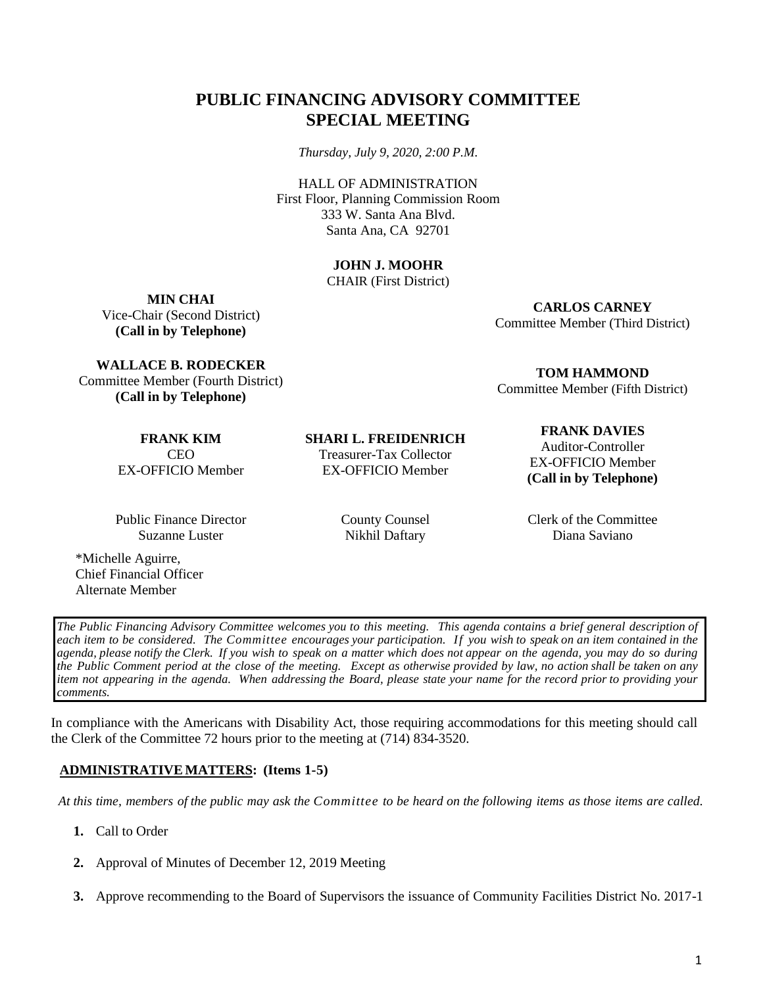# **PUBLIC FINANCING ADVISORY COMMITTEE SPECIAL MEETING**

*Thursday, July 9, 2020, 2:00 P.M.*

HALL OF ADMINISTRATION First Floor, Planning Commission Room 333 W. Santa Ana Blvd. Santa Ana, CA 92701

## **JOHN J. MOOHR**

CHAIR (First District)

**MIN CHAI** Vice-Chair (Second District) **(Call in by Telephone)**

**CARLOS CARNEY**

Committee Member (Third District)

**TOM HAMMOND** Committee Member (Fifth District)

**WALLACE B. RODECKER** Committee Member (Fourth District) **(Call in by Telephone)**

> **FRANK KIM** CEO EX-OFFICIO Member

Public Finance Director Suzanne Luster

\*Michelle Aguirre, Chief Financial Officer Alternate Member

**SHARI L. FREIDENRICH** Treasurer-Tax Collector EX-OFFICIO Member

County Counsel Nikhil Daftary

#### **FRANK DAVIES**

Auditor-Controller EX-OFFICIO Member **(Call in by Telephone)**

Clerk of the Committee Diana Saviano

*The Public Financing Advisory Committee welcomes you to this meeting. This agenda contains a brief general description of* each item to be considered. The Committee encourages your participation. If you wish to speak on an item contained in the agenda, please notify the Clerk. If you wish to speak on a matter which does not appear on the agenda, you may do so during the Public Comment period at the close of the meeting. Except as otherwise provided by law, no action shall be taken on any item not appearing in the agenda. When addressing the Board, please state your name for the record prior to providing your *comments.*

In compliance with the Americans with Disability Act, those requiring accommodations for this meeting should call the Clerk of the Committee 72 hours prior to the meeting at (714) 834-3520.

## **ADMINISTRATIVEMATTERS: (Items 1-5)**

At this time, members of the public may ask the Committee to be heard on the following items as those items are called.

- **1.** Call to Order
- **2.** Approval of Minutes of December 12, 2019 Meeting
- **3.** Approve recommending to the Board of Supervisors the issuance of Community Facilities District No. 2017-1